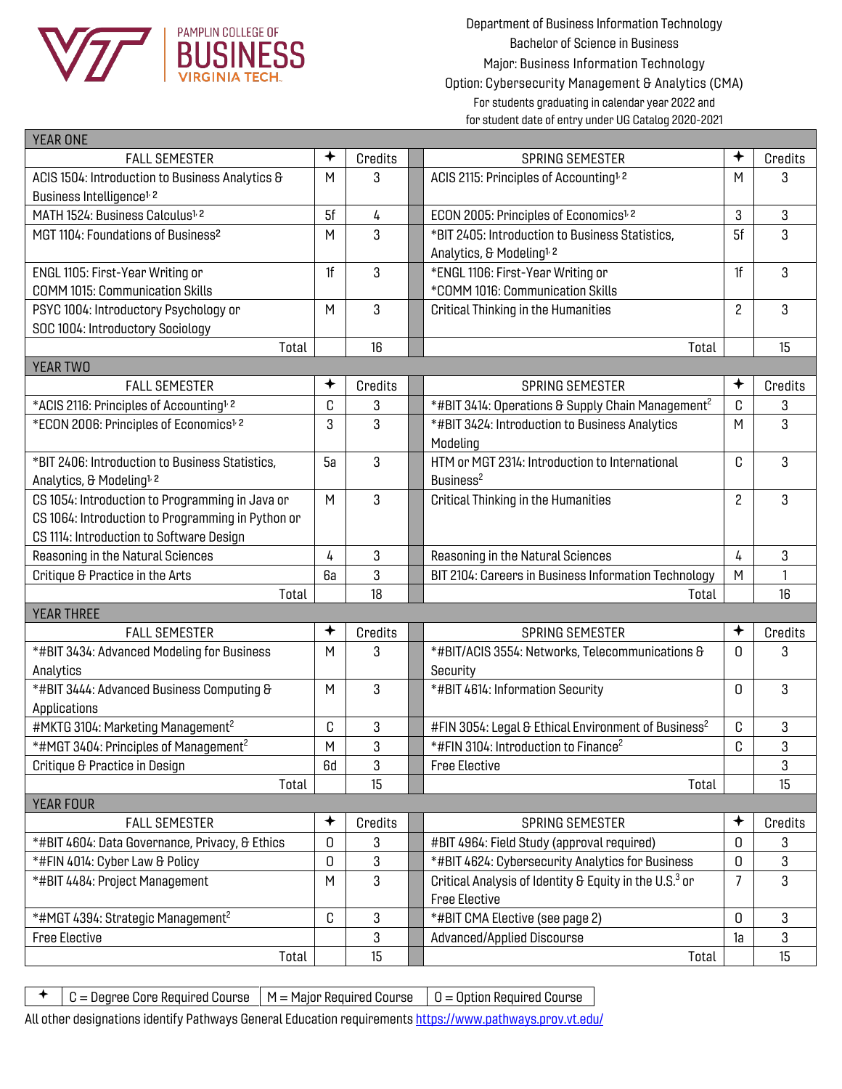

| <b>YEAR ONE</b>                                      |                          |         |  |                                                                    |                |         |
|------------------------------------------------------|--------------------------|---------|--|--------------------------------------------------------------------|----------------|---------|
| <b>FALL SEMESTER</b>                                 | $\overline{\phantom{a}}$ | Credits |  | <b>SPRING SEMESTER</b>                                             | ✦              | Credits |
| ACIS 1504: Introduction to Business Analytics &      | M                        | 3       |  | ACIS 2115: Principles of Accounting <sup>1, 2</sup>                | M              | 3       |
| Business Intelligence <sup>1, 2</sup>                |                          |         |  |                                                                    |                |         |
| MATH 1524: Business Calculus <sup>1, 2</sup>         | 5f                       | 4       |  | ECON 2005: Principles of Economics <sup>1, 2</sup>                 | 3              | 3       |
| MGT 1104: Foundations of Business <sup>2</sup>       | M                        | 3       |  | *BIT 2405: Introduction to Business Statistics,                    | 5f             | 3       |
|                                                      |                          |         |  | Analytics, & Modeling <sup>1, 2</sup>                              |                |         |
| ENGL 1105: First-Year Writing or                     | 1f                       | 3       |  | *ENGL 1106: First-Year Writing or                                  | 1f             | 3       |
| <b>COMM 1015: Communication Skills</b>               |                          |         |  | *COMM 1016: Communication Skills                                   |                |         |
| PSYC 1004: Introductory Psychology or                | M                        | 3       |  | <b>Critical Thinking in the Humanities</b>                         | $\overline{c}$ | 3       |
| SOC 1004: Introductory Sociology                     |                          |         |  |                                                                    |                |         |
| Total                                                |                          | 16      |  | Total                                                              |                | 15      |
| <b>YEAR TWO</b>                                      |                          |         |  |                                                                    |                |         |
| <b>FALL SEMESTER</b>                                 |                          | Credits |  | <b>SPRING SEMESTER</b>                                             | ✦              | Credits |
| *ACIS 2116: Principles of Accounting <sup>1, 2</sup> | C                        | 3       |  | *#BIT 3414: Operations & Supply Chain Management <sup>2</sup>      | C              | 3       |
| *ECON 2006: Principles of Economics <sup>1, 2</sup>  | 3                        | 3       |  | *#BIT 3424: Introduction to Business Analytics                     | M              | 3       |
|                                                      |                          |         |  | Modeling                                                           |                |         |
| *BIT 2406: Introduction to Business Statistics,      | 5a                       | 3       |  | HTM or MGT 2314: Introduction to International                     | C              | 3       |
| Analytics, & Modeling <sup>1, 2</sup>                |                          |         |  | Business <sup>2</sup>                                              |                |         |
| CS 1054: Introduction to Programming in Java or      | M                        | 3       |  | <b>Critical Thinking in the Humanities</b>                         | 2              | 3       |
| CS 1064: Introduction to Programming in Python or    |                          |         |  |                                                                    |                |         |
| CS 1114: Introduction to Software Design             |                          |         |  |                                                                    |                |         |
| Reasoning in the Natural Sciences                    | 4                        | 3       |  | Reasoning in the Natural Sciences                                  | 4              | 3       |
| Critique & Practice in the Arts                      | 6а                       | 3       |  | BIT 2104: Careers in Business Information Technology               | M              | 1       |
| Total                                                |                          | 18      |  | Total                                                              |                | 16      |
| <b>YEAR THREE</b>                                    |                          |         |  |                                                                    |                |         |
| <b>FALL SEMESTER</b>                                 | ✦                        | Credits |  | <b>SPRING SEMESTER</b>                                             | ✦              | Credits |
| *#BIT 3434: Advanced Modeling for Business           | M                        | 3       |  | *#BIT/ACIS 3554: Networks, Telecommunications &                    | O.             | 3       |
| Analytics                                            |                          |         |  | Security                                                           |                |         |
| *#BIT 3444: Advanced Business Computing &            | M                        | 3       |  | *#BIT 4614: Information Security                                   | U              | 3       |
| Applications                                         |                          |         |  |                                                                    |                |         |
| #MKTG 3104: Marketing Management <sup>2</sup>        | C                        | 3       |  | #FIN 3054: Legal & Ethical Environment of Business <sup>2</sup>    | C              | 3       |
| *#MGT 3404: Principles of Management <sup>2</sup>    | M                        | 3       |  | *#FIN 3104: Introduction to Finance <sup>2</sup>                   | C              | 3       |
| Critique & Practice in Design                        | 6d                       | 3       |  | <b>Free Elective</b>                                               |                | 3       |
| Total                                                |                          | 15      |  | Total                                                              |                | 15      |
| <b>YEAR FOUR</b>                                     |                          |         |  |                                                                    |                |         |
| <b>FALL SEMESTER</b>                                 | $\,{}^*$                 | Credits |  | SPRING SEMESTER                                                    |                | Credits |
| *#BIT 4604: Data Governance, Privacy, & Ethics       | 0                        | 3       |  | #BIT 4964: Field Study (approval required)                         | 0              | 3       |
| *#FIN 4014: Cyber Law & Policy                       | 0                        | 3       |  | *#BIT 4624: Cybersecurity Analytics for Business                   | 0              | 3       |
| *#BIT 4484: Project Management                       | M                        | 3       |  | Critical Analysis of Identity & Equity in the U.S. <sup>3</sup> or | $\overline{7}$ | 3       |
|                                                      |                          |         |  | <b>Free Elective</b>                                               |                |         |
| *#MGT 4394: Strategic Management <sup>2</sup>        | C                        | 3       |  | *#BIT CMA Elective (see page 2)                                    | 0              | 3       |
| <b>Free Elective</b>                                 |                          | 3       |  | Advanced/Applied Discourse                                         | 1a             | 3       |
| Total                                                |                          | 15      |  | Total                                                              |                | 15      |

 $\uparrow$  | C = Degree Core Required Course | M = Major Required Course | O = Option Required Course

All other designations identify Pathways General Education requirement[s https://www.pathways.prov.vt.edu/](https://www.pathways.prov.vt.edu/)